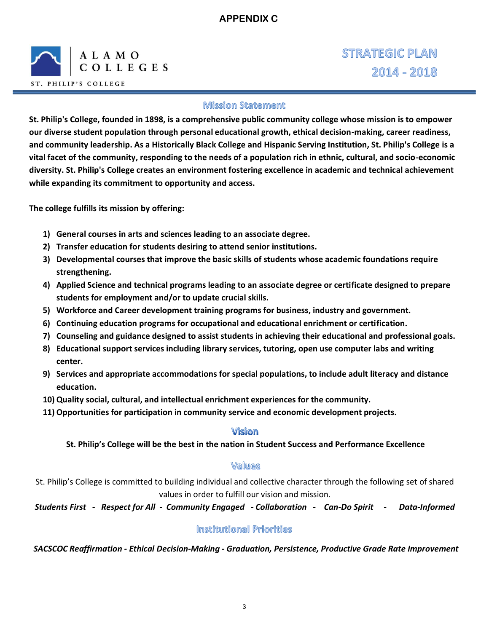

**STRATEGIC PLAN** 2014 - 2018

### **Mission Statement**

**St. Philip's College, founded in 1898, is a comprehensive public community college whose mission is to empower our diverse student population through personal educational growth, ethical decision-making, career readiness, and community leadership. As a Historically Black College and Hispanic Serving Institution, St. Philip's College is a vital facet of the community, responding to the needs of a population rich in ethnic, cultural, and socio-economic diversity. St. Philip's College creates an environment fostering excellence in academic and technical achievement while expanding its commitment to opportunity and access.** 

**The college fulfills its mission by offering:** 

- **1) General courses in arts and sciences leading to an associate degree.**
- **2) Transfer education for students desiring to attend senior institutions.**
- **3) Developmental courses that improve the basic skills of students whose academic foundations require strengthening.**
- **4) Applied Science and technical programs leading to an associate degree or certificate designed to prepare students for employment and/or to update crucial skills.**
- **5) Workforce and Career development training programs for business, industry and government.**
- **6) Continuing education programs for occupational and educational enrichment or certification.**
- **7) Counseling and guidance designed to assist students in achieving their educational and professional goals.**
- **8) Educational support services including library services, tutoring, open use computer labs and writing center.**
- **9) Services and appropriate accommodations for special populations, to include adult literacy and distance education.**
- **10) Quality social, cultural, and intellectual enrichment experiences for the community.**
- **11) Opportunities for participation in community service and economic development projects.**

## **Vision**

**St. Philip's College will be the best in the nation in Student Success and Performance Excellence** 

#### Values

St. Philip's College is committed to building individual and collective character through the following set of shared values in order to fulfill our vision and mission.

*Students First - Respect for All - Community Engaged - Collaboration - Can-Do Spirit - Data-Informed* 

#### **Institutional Priorities**

*SACSCOC Reaffirmation - Ethical Decision-Making - Graduation, Persistence, Productive Grade Rate Improvement*